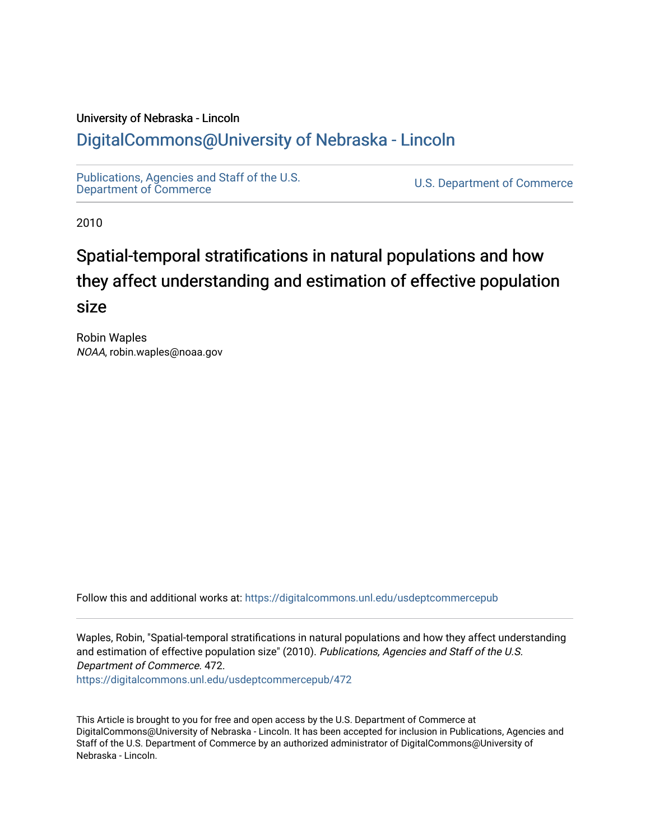### University of Nebraska - Lincoln [DigitalCommons@University of Nebraska - Lincoln](https://digitalcommons.unl.edu/)

[Publications, Agencies and Staff of the U.S.](https://digitalcommons.unl.edu/usdeptcommercepub)

U.S. [Department of Commerce](https://digitalcommons.unl.edu/usdeptcommercepub)

2010

# Spatial-temporal stratifications in natural populations and how they affect understanding and estimation of effective population size

Robin Waples NOAA, robin.waples@noaa.gov

Follow this and additional works at: [https://digitalcommons.unl.edu/usdeptcommercepub](https://digitalcommons.unl.edu/usdeptcommercepub?utm_source=digitalcommons.unl.edu%2Fusdeptcommercepub%2F472&utm_medium=PDF&utm_campaign=PDFCoverPages)

Waples, Robin, "Spatial-temporal stratifications in natural populations and how they affect understanding and estimation of effective population size" (2010). Publications, Agencies and Staff of the U.S. Department of Commerce. 472.

[https://digitalcommons.unl.edu/usdeptcommercepub/472](https://digitalcommons.unl.edu/usdeptcommercepub/472?utm_source=digitalcommons.unl.edu%2Fusdeptcommercepub%2F472&utm_medium=PDF&utm_campaign=PDFCoverPages) 

This Article is brought to you for free and open access by the U.S. Department of Commerce at DigitalCommons@University of Nebraska - Lincoln. It has been accepted for inclusion in Publications, Agencies and Staff of the U.S. Department of Commerce by an authorized administrator of DigitalCommons@University of Nebraska - Lincoln.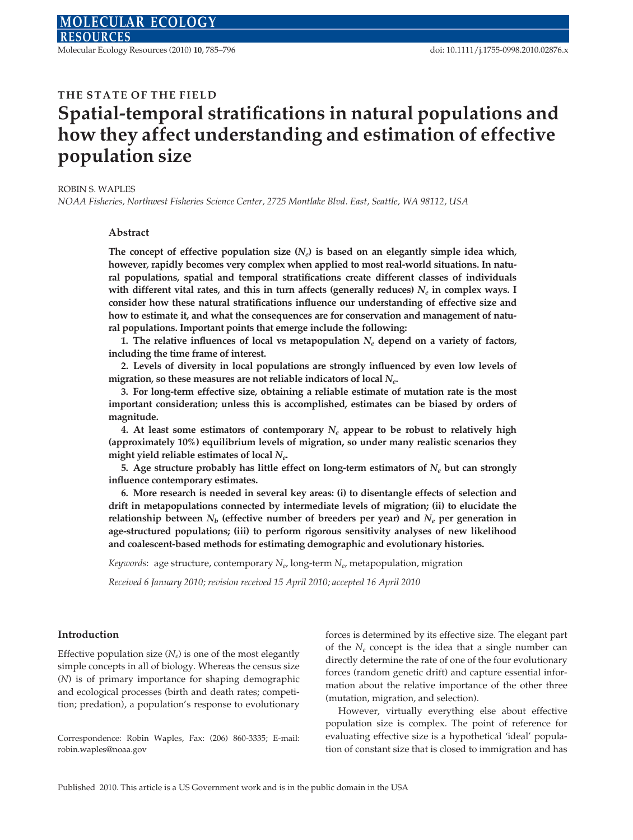Molecular Ecology Resources (2010) 10, 785–796 doi: 10.1111/j.1755-0998.2010.02876.x

#### THE STATE OF THE FIELD

## Spatial-temporal stratifications in natural populations and how they affect understanding and estimation of effective population size

#### ROBIN S. WAPLES

NOAA Fisheries, Northwest Fisheries Science Center, 2725 Montlake Blvd. East, Seattle, WA 98112, USA

#### Abstract

The concept of effective population size  $(N_e)$  is based on an elegantly simple idea which, however, rapidly becomes very complex when applied to most real-world situations. In natural populations, spatial and temporal stratifications create different classes of individuals with different vital rates, and this in turn affects (generally reduces)  $N_e$  in complex ways. I consider how these natural stratifications influence our understanding of effective size and how to estimate it, and what the consequences are for conservation and management of natural populations. Important points that emerge include the following:

1. The relative influences of local vs metapopulation  $N_e$  depend on a variety of factors, including the time frame of interest.

2. Levels of diversity in local populations are strongly influenced by even low levels of migration, so these measures are not reliable indicators of local  $N_{e}$ .

3. For long-term effective size, obtaining a reliable estimate of mutation rate is the most important consideration; unless this is accomplished, estimates can be biased by orders of magnitude.

4. At least some estimators of contemporary  $N_e$  appear to be robust to relatively high (approximately 10%) equilibrium levels of migration, so under many realistic scenarios they might yield reliable estimates of local  $N_e$ .

5. Age structure probably has little effect on long-term estimators of  $N_e$  but can strongly influence contemporary estimates.

6. More research is needed in several key areas: (i) to disentangle effects of selection and drift in metapopulations connected by intermediate levels of migration; (ii) to elucidate the relationship between  $N_b$  (effective number of breeders per year) and  $N_e$  per generation in age-structured populations; (iii) to perform rigorous sensitivity analyses of new likelihood and coalescent-based methods for estimating demographic and evolutionary histories.

Keywords: age structure, contemporary  $N_e$ , long-term  $N_e$ , metapopulation, migration

Received 6 January 2010; revision received 15 April 2010; accepted 16 April 2010

#### Introduction

Effective population size  $(N_e)$  is one of the most elegantly simple concepts in all of biology. Whereas the census size (N) is of primary importance for shaping demographic and ecological processes (birth and death rates; competition; predation), a population's response to evolutionary

Correspondence: Robin Waples, Fax: (206) 860-3335; E-mail: robin.waples@noaa.gov

forces is determined by its effective size. The elegant part of the  $N_e$  concept is the idea that a single number can directly determine the rate of one of the four evolutionary forces (random genetic drift) and capture essential information about the relative importance of the other three (mutation, migration, and selection).

However, virtually everything else about effective population size is complex. The point of reference for evaluating effective size is a hypothetical 'ideal' population of constant size that is closed to immigration and has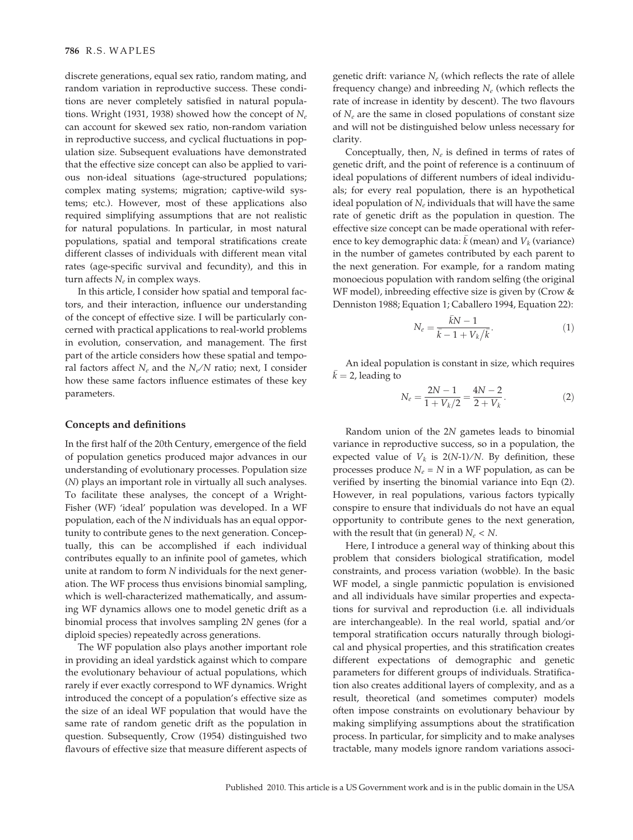discrete generations, equal sex ratio, random mating, and random variation in reproductive success. These conditions are never completely satisfied in natural populations. Wright (1931, 1938) showed how the concept of  $N_e$ can account for skewed sex ratio, non-random variation in reproductive success, and cyclical fluctuations in population size. Subsequent evaluations have demonstrated that the effective size concept can also be applied to various non-ideal situations (age-structured populations; complex mating systems; migration; captive-wild systems; etc.). However, most of these applications also required simplifying assumptions that are not realistic for natural populations. In particular, in most natural populations, spatial and temporal stratifications create different classes of individuals with different mean vital rates (age-specific survival and fecundity), and this in turn affects  $N_e$  in complex ways.

In this article, I consider how spatial and temporal factors, and their interaction, influence our understanding of the concept of effective size. I will be particularly concerned with practical applications to real-world problems in evolution, conservation, and management. The first part of the article considers how these spatial and temporal factors affect  $N_e$  and the  $N_e/N$  ratio; next, I consider how these same factors influence estimates of these key parameters.

#### Concepts and definitions

In the first half of the 20th Century, emergence of the field of population genetics produced major advances in our understanding of evolutionary processes. Population size (N) plays an important role in virtually all such analyses. To facilitate these analyses, the concept of a Wright-Fisher (WF) 'ideal' population was developed. In a WF population, each of the N individuals has an equal opportunity to contribute genes to the next generation. Conceptually, this can be accomplished if each individual contributes equally to an infinite pool of gametes, which unite at random to form N individuals for the next generation. The WF process thus envisions binomial sampling, which is well-characterized mathematically, and assuming WF dynamics allows one to model genetic drift as a binomial process that involves sampling 2N genes (for a diploid species) repeatedly across generations.

The WF population also plays another important role in providing an ideal yardstick against which to compare the evolutionary behaviour of actual populations, which rarely if ever exactly correspond to WF dynamics. Wright introduced the concept of a population's effective size as the size of an ideal WF population that would have the same rate of random genetic drift as the population in question. Subsequently, Crow (1954) distinguished two flavours of effective size that measure different aspects of genetic drift: variance  $N_e$  (which reflects the rate of allele frequency change) and inbreeding  $N_e$  (which reflects the rate of increase in identity by descent). The two flavours of  $N_e$  are the same in closed populations of constant size and will not be distinguished below unless necessary for clarity.

Conceptually, then,  $N_e$  is defined in terms of rates of genetic drift, and the point of reference is a continuum of ideal populations of different numbers of ideal individuals; for every real population, there is an hypothetical ideal population of  $N_e$  individuals that will have the same rate of genetic drift as the population in question. The effective size concept can be made operational with reference to key demographic data:  $\bar{k}$  (mean) and  $V_k$  (variance) in the number of gametes contributed by each parent to the next generation. For example, for a random mating monoecious population with random selfing (the original WF model), inbreeding effective size is given by (Crow & Denniston 1988; Equation 1; Caballero 1994, Equation 22):

$$
N_e = \frac{\bar{k}N - 1}{\bar{k} - 1 + V_k/\bar{k}}.\tag{1}
$$

An ideal population is constant in size, which requires  $\bar{k}$  = 2, leading to

$$
N_e = \frac{2N - 1}{1 + V_k/2} = \frac{4N - 2}{2 + V_k}.
$$
 (2)

Random union of the 2N gametes leads to binomial variance in reproductive success, so in a population, the expected value of  $V_k$  is  $2(N-1)/N$ . By definition, these processes produce  $N_e = N$  in a WF population, as can be verified by inserting the binomial variance into Eqn (2). However, in real populations, various factors typically conspire to ensure that individuals do not have an equal opportunity to contribute genes to the next generation, with the result that (in general)  $N_e < N$ .

Here, I introduce a general way of thinking about this problem that considers biological stratification, model constraints, and process variation (wobble). In the basic WF model, a single panmictic population is envisioned and all individuals have similar properties and expectations for survival and reproduction (i.e. all individuals are interchangeable). In the real world, spatial and/or temporal stratification occurs naturally through biological and physical properties, and this stratification creates different expectations of demographic and genetic parameters for different groups of individuals. Stratification also creates additional layers of complexity, and as a result, theoretical (and sometimes computer) models often impose constraints on evolutionary behaviour by making simplifying assumptions about the stratification process. In particular, for simplicity and to make analyses tractable, many models ignore random variations associ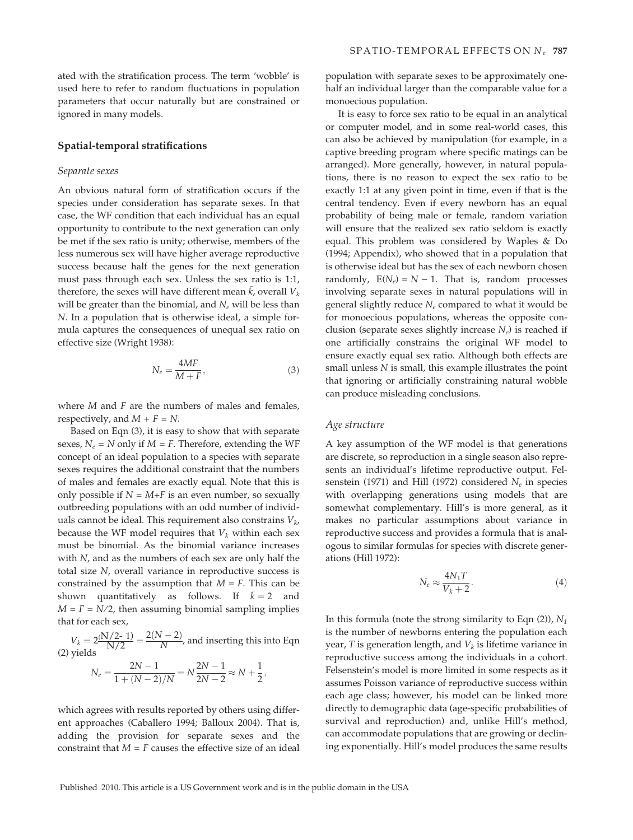ated with the stratification process. The term 'wobble' is used here to refer to random fluctuations in population parameters that occur naturally but are constrained or ignored in many models.

#### Spatial-temporal stratifications

#### Separate sexes

An obvious natural form of stratification occurs if the species under consideration has separate sexes. In that case, the WF condition that each individual has an equal opportunity to contribute to the next generation can only be met if the sex ratio is unity; otherwise, members of the less numerous sex will have higher average reproductive success because half the genes for the next generation must pass through each sex. Unless the sex ratio is 1:1, therefore, the sexes will have different mean  $\bar{k}$ , overall  $V_k$ will be greater than the binomial, and  $N_e$  will be less than N. In a population that is otherwise ideal, a simple formula captures the consequences of unequal sex ratio on effective size (Wright 1938):

$$
N_e = \frac{4MF}{M+F},\tag{3}
$$

where  $M$  and  $F$  are the numbers of males and females, respectively, and  $M + F = N$ .

Based on Eqn (3), it is easy to show that with separate sexes,  $N_e$  = N only if  $M = F$ . Therefore, extending the WF concept of an ideal population to a species with separate sexes requires the additional constraint that the numbers of males and females are exactly equal. Note that this is only possible if  $N = M+F$  is an even number, so sexually outbreeding populations with an odd number of individuals cannot be ideal. This requirement also constrains  $V_{k}$ , because the WF model requires that  $V_k$  within each sex must be binomial. As the binomial variance increases with  $N$ , and as the numbers of each sex are only half the total size N, overall variance in reproductive success is constrained by the assumption that  $M = F$ . This can be shown quantitatively as follows. If  $\bar{k} = 2$  and  $M = F = N/2$ , then assuming binomial sampling implies that for each sex,

 $V_k = 2 \frac{(N/2-1)}{N/2} = \frac{2(N-2)}{N}$ , and inserting this into Eqn (2) yields

$$
N_e = \frac{2N-1}{1 + (N-2)/N} = N\frac{2N-1}{2N-2} \approx N + \frac{1}{2},
$$

which agrees with results reported by others using different approaches (Caballero 1994; Balloux 2004). That is, adding the provision for separate sexes and the constraint that  $M = F$  causes the effective size of an ideal

population with separate sexes to be approximately onehalf an individual larger than the comparable value for a monoecious population.

It is easy to force sex ratio to be equal in an analytical or computer model, and in some real-world cases, this can also be achieved by manipulation (for example, in a captive breeding program where specific matings can be arranged). More generally, however, in natural populations, there is no reason to expect the sex ratio to be exactly 1:1 at any given point in time, even if that is the central tendency. Even if every newborn has an equal probability of being male or female, random variation will ensure that the realized sex ratio seldom is exactly equal. This problem was considered by Waples & Do (1994; Appendix), who showed that in a population that is otherwise ideal but has the sex of each newborn chosen randomly,  $E(N_e) = N - 1$ . That is, random processes involving separate sexes in natural populations will in general slightly reduce  $N_e$  compared to what it would be for monoecious populations, whereas the opposite conclusion (separate sexes slightly increase  $N_e$ ) is reached if one artificially constrains the original WF model to ensure exactly equal sex ratio. Although both effects are small unless N is small, this example illustrates the point that ignoring or artificially constraining natural wobble can produce misleading conclusions.

#### Age structure

A key assumption of the WF model is that generations are discrete, so reproduction in a single season also represents an individual's lifetime reproductive output. Felsenstein (1971) and Hill (1972) considered  $N_e$  in species with overlapping generations using models that are somewhat complementary. Hill's is more general, as it makes no particular assumptions about variance in reproductive success and provides a formula that is analogous to similar formulas for species with discrete generations (Hill 1972):

$$
N_e \approx \frac{4N_1 T}{V_k + 2}.\tag{4}
$$

In this formula (note the strong similarity to Eqn  $(2)$ ),  $N_1$ is the number of newborns entering the population each year, T is generation length, and  $V_k$  is lifetime variance in reproductive success among the individuals in a cohort. Felsenstein's model is more limited in some respects as it assumes Poisson variance of reproductive success within each age class; however, his model can be linked more directly to demographic data (age-specific probabilities of survival and reproduction) and, unlike Hill's method, can accommodate populations that are growing or declining exponentially. Hill's model produces the same results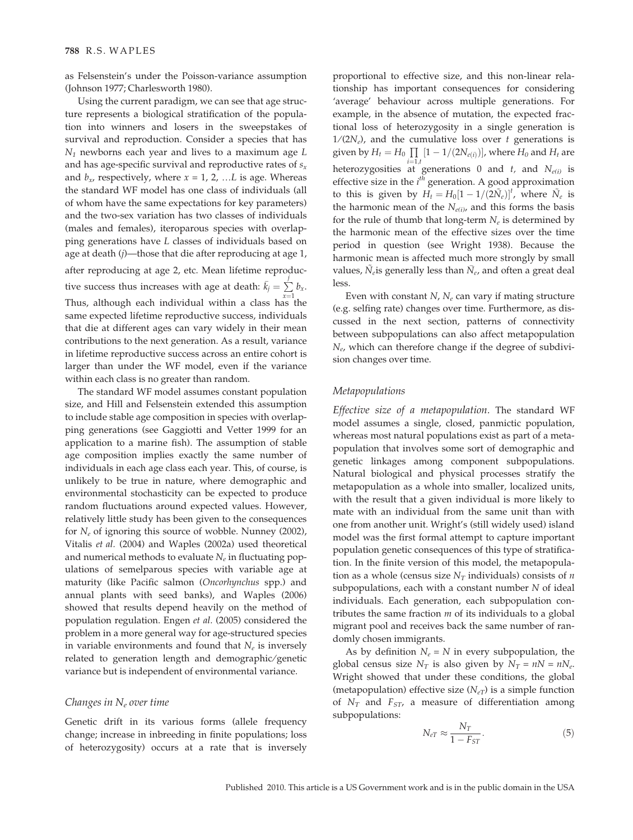as Felsenstein's under the Poisson-variance assumption (Johnson 1977; Charlesworth 1980).

Using the current paradigm, we can see that age structure represents a biological stratification of the population into winners and losers in the sweepstakes of survival and reproduction. Consider a species that has  $N_1$  newborns each year and lives to a maximum age  $L$ and has age-specific survival and reproductive rates of  $s_x$ and  $b_x$ , respectively, where  $x = 1, 2, ...L$  is age. Whereas the standard WF model has one class of individuals (all of whom have the same expectations for key parameters) and the two-sex variation has two classes of individuals (males and females), iteroparous species with overlapping generations have L classes of individuals based on age at death (j)—those that die after reproducing at age 1, after reproducing at age 2, etc. Mean lifetime reproductive success thus increases with age at death:  $\bar{k}_j = \sum_j^j b_x$ . Thus, although each individual within a class has the same expected lifetime reproductive success, individuals that die at different ages can vary widely in their mean contributions to the next generation. As a result, variance in lifetime reproductive success across an entire cohort is larger than under the WF model, even if the variance within each class is no greater than random.

The standard WF model assumes constant population size, and Hill and Felsenstein extended this assumption to include stable age composition in species with overlapping generations (see Gaggiotti and Vetter 1999 for an application to a marine fish). The assumption of stable age composition implies exactly the same number of individuals in each age class each year. This, of course, is unlikely to be true in nature, where demographic and environmental stochasticity can be expected to produce random fluctuations around expected values. However, relatively little study has been given to the consequences for  $N_e$  of ignoring this source of wobble. Nunney (2002), Vitalis et al. (2004) and Waples (2002a) used theoretical and numerical methods to evaluate  $N_e$  in fluctuating populations of semelparous species with variable age at maturity (like Pacific salmon (Oncorhynchus spp.) and annual plants with seed banks), and Waples (2006) showed that results depend heavily on the method of population regulation. Engen et al. (2005) considered the problem in a more general way for age-structured species in variable environments and found that  $N_e$  is inversely related to generation length and demographic/genetic variance but is independent of environmental variance.

#### Changes in  $N_e$  over time

Genetic drift in its various forms (allele frequency change; increase in inbreeding in finite populations; loss of heterozygosity) occurs at a rate that is inversely

proportional to effective size, and this non-linear relationship has important consequences for considering 'average' behaviour across multiple generations. For example, in the absence of mutation, the expected fractional loss of heterozygosity in a single generation is  $1/(2N_e)$ , and the cumulative loss over t generations is given by  $H_t = H_0 \prod_{i=1}^{n} [1 - 1/(2N_{e(i)})]$ , where  $H_0$  and  $H_t$  are heterozygosities at generations 0 and t, and  $N_{e(i)}$  is effective size in the  $i<sup>th</sup>$  generation. A good approximation to this is given by  $H_t = H_0[1 - 1/(2\tilde{N}_e)]^t$ , where  $\tilde{N}_e$  is the harmonic mean of the  $N_{e(i)}$ , and this forms the basis for the rule of thumb that long-term  $N_e$  is determined by the harmonic mean of the effective sizes over the time period in question (see Wright 1938). Because the harmonic mean is affected much more strongly by small values,  $\tilde{N}_e$  is generally less than  $\bar{N}_e$ , and often a great deal less.

Even with constant  $N$ ,  $N_e$  can vary if mating structure (e.g. selfing rate) changes over time. Furthermore, as discussed in the next section, patterns of connectivity between subpopulations can also affect metapopulation  $N_e$ , which can therefore change if the degree of subdivision changes over time.

#### Metapopulations

Effective size of a metapopulation. The standard WF model assumes a single, closed, panmictic population, whereas most natural populations exist as part of a metapopulation that involves some sort of demographic and genetic linkages among component subpopulations. Natural biological and physical processes stratify the metapopulation as a whole into smaller, localized units, with the result that a given individual is more likely to mate with an individual from the same unit than with one from another unit. Wright's (still widely used) island model was the first formal attempt to capture important population genetic consequences of this type of stratification. In the finite version of this model, the metapopulation as a whole (census size  $N_T$  individuals) consists of *n* subpopulations, each with a constant number  $N$  of ideal individuals. Each generation, each subpopulation contributes the same fraction  $m$  of its individuals to a global migrant pool and receives back the same number of randomly chosen immigrants.

As by definition  $N_e = N$  in every subpopulation, the global census size  $N_T$  is also given by  $N_T = nN = nN_e$ . Wright showed that under these conditions, the global (metapopulation) effective size  $(N_{eT})$  is a simple function of  $N_T$  and  $F_{ST}$ , a measure of differentiation among subpopulations:

$$
N_{eT} \approx \frac{N_T}{1 - F_{ST}}.\tag{5}
$$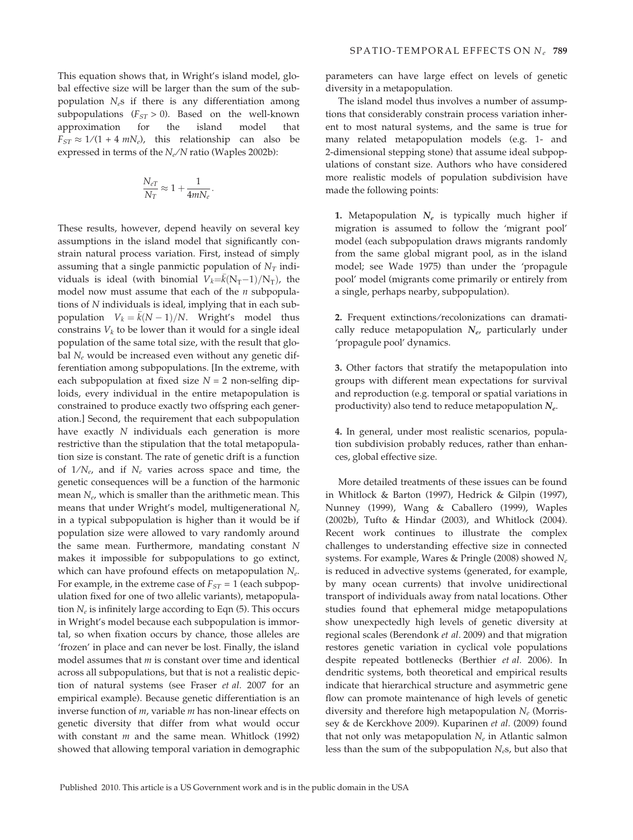This equation shows that, in Wright's island model, global effective size will be larger than the sum of the subpopulation  $N_e$ s if there is any differentiation among subpopulations ( $F_{ST} > 0$ ). Based on the well-known approximation for the island model that  $F_{ST} \approx 1/(1 + 4 \text{ mN}_e)$ , this relationship can also be expressed in terms of the  $N_e/N$  ratio (Waples 2002b):

$$
\frac{N_{eT}}{N_T} \approx 1 + \frac{1}{4mN_e}.
$$

These results, however, depend heavily on several key assumptions in the island model that significantly constrain natural process variation. First, instead of simply assuming that a single panmictic population of  $N_T$  individuals is ideal (with binomial  $V_k = \bar{k}(N_T-1)/N_T$ ), the model now must assume that each of the  $n$  subpopulations of N individuals is ideal, implying that in each subpopulation  $V_k = \bar{k}(N-1)/N$ . Wright's model thus constrains  $V_k$  to be lower than it would for a single ideal population of the same total size, with the result that global  $N_e$  would be increased even without any genetic differentiation among subpopulations. [In the extreme, with each subpopulation at fixed size  $N = 2$  non-selfing diploids, every individual in the entire metapopulation is constrained to produce exactly two offspring each generation.] Second, the requirement that each subpopulation have exactly N individuals each generation is more restrictive than the stipulation that the total metapopulation size is constant. The rate of genetic drift is a function of  $1/N_e$ , and if  $N_e$  varies across space and time, the genetic consequences will be a function of the harmonic mean  $N_e$ , which is smaller than the arithmetic mean. This means that under Wright's model, multigenerational  $N_e$ in a typical subpopulation is higher than it would be if population size were allowed to vary randomly around the same mean. Furthermore, mandating constant N makes it impossible for subpopulations to go extinct, which can have profound effects on metapopulation  $N_e$ . For example, in the extreme case of  $F_{ST} = 1$  (each subpopulation fixed for one of two allelic variants), metapopulation  $N_e$  is infinitely large according to Eqn (5). This occurs in Wright's model because each subpopulation is immortal, so when fixation occurs by chance, those alleles are 'frozen' in place and can never be lost. Finally, the island model assumes that  $m$  is constant over time and identical across all subpopulations, but that is not a realistic depiction of natural systems (see Fraser et al. 2007 for an empirical example). Because genetic differentiation is an inverse function of m, variable m has non-linear effects on genetic diversity that differ from what would occur with constant  $m$  and the same mean. Whitlock (1992) showed that allowing temporal variation in demographic

parameters can have large effect on levels of genetic diversity in a metapopulation.

The island model thus involves a number of assumptions that considerably constrain process variation inherent to most natural systems, and the same is true for many related metapopulation models (e.g. 1- and 2-dimensional stepping stone) that assume ideal subpopulations of constant size. Authors who have considered more realistic models of population subdivision have made the following points:

1. Metapopulation  $N_e$  is typically much higher if migration is assumed to follow the 'migrant pool' model (each subpopulation draws migrants randomly from the same global migrant pool, as in the island model; see Wade 1975) than under the 'propagule pool' model (migrants come primarily or entirely from a single, perhaps nearby, subpopulation).

2. Frequent extinctions/recolonizations can dramatically reduce metapopulation  $N_{e}$ , particularly under 'propagule pool' dynamics.

3. Other factors that stratify the metapopulation into groups with different mean expectations for survival and reproduction (e.g. temporal or spatial variations in productivity) also tend to reduce metapopulation  $N_e$ .

4. In general, under most realistic scenarios, population subdivision probably reduces, rather than enhances, global effective size.

More detailed treatments of these issues can be found in Whitlock & Barton (1997), Hedrick & Gilpin (1997), Nunney (1999), Wang & Caballero (1999), Waples (2002b), Tufto & Hindar (2003), and Whitlock (2004). Recent work continues to illustrate the complex challenges to understanding effective size in connected systems. For example, Wares & Pringle (2008) showed  $N_e$ is reduced in advective systems (generated, for example, by many ocean currents) that involve unidirectional transport of individuals away from natal locations. Other studies found that ephemeral midge metapopulations show unexpectedly high levels of genetic diversity at regional scales (Berendonk et al. 2009) and that migration restores genetic variation in cyclical vole populations despite repeated bottlenecks (Berthier et al. 2006). In dendritic systems, both theoretical and empirical results indicate that hierarchical structure and asymmetric gene flow can promote maintenance of high levels of genetic diversity and therefore high metapopulation  $N_e$  (Morrissey & de Kerckhove 2009). Kuparinen et al. (2009) found that not only was metapopulation  $N_e$  in Atlantic salmon less than the sum of the subpopulation  $N_e$ s, but also that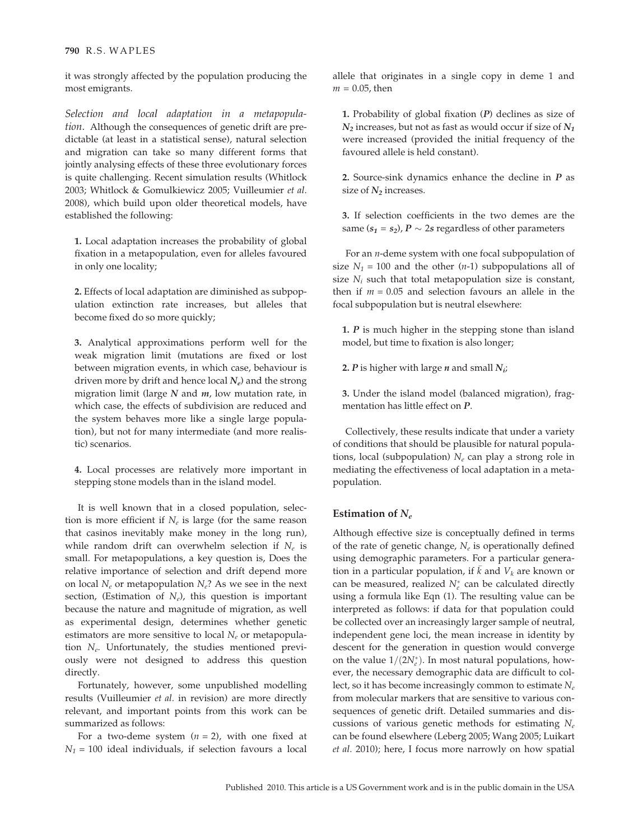#### 790 R.S. WAPLES

it was strongly affected by the population producing the most emigrants.

Selection and local adaptation in a metapopulation. Although the consequences of genetic drift are predictable (at least in a statistical sense), natural selection and migration can take so many different forms that jointly analysing effects of these three evolutionary forces is quite challenging. Recent simulation results (Whitlock 2003; Whitlock & Gomulkiewicz 2005; Vuilleumier et al. 2008), which build upon older theoretical models, have established the following:

1. Local adaptation increases the probability of global fixation in a metapopulation, even for alleles favoured in only one locality;

2. Effects of local adaptation are diminished as subpopulation extinction rate increases, but alleles that become fixed do so more quickly;

3. Analytical approximations perform well for the weak migration limit (mutations are fixed or lost between migration events, in which case, behaviour is driven more by drift and hence local  $N_e$ ) and the strong migration limit (large  $N$  and  $m$ , low mutation rate, in which case, the effects of subdivision are reduced and the system behaves more like a single large population), but not for many intermediate (and more realistic) scenarios.

4. Local processes are relatively more important in stepping stone models than in the island model.

It is well known that in a closed population, selection is more efficient if  $N_e$  is large (for the same reason that casinos inevitably make money in the long run), while random drift can overwhelm selection if  $N_e$  is small. For metapopulations, a key question is, Does the relative importance of selection and drift depend more on local  $N_e$  or metapopulation  $N_e$ ? As we see in the next section, (Estimation of  $N_e$ ), this question is important because the nature and magnitude of migration, as well as experimental design, determines whether genetic estimators are more sensitive to local  $N_e$  or metapopulation  $N_e$ . Unfortunately, the studies mentioned previously were not designed to address this question directly.

Fortunately, however, some unpublished modelling results (Vuilleumier et al. in revision) are more directly relevant, and important points from this work can be summarized as follows:

For a two-deme system  $(n = 2)$ , with one fixed at  $N_1$  = 100 ideal individuals, if selection favours a local

allele that originates in a single copy in deme 1 and  $m = 0.05$ , then

1. Probability of global fixation  $(P)$  declines as size of  $N_2$  increases, but not as fast as would occur if size of  $N_1$ were increased (provided the initial frequency of the favoured allele is held constant).

2. Source-sink dynamics enhance the decline in  *as* size of  $N_2$  increases.

3. If selection coefficients in the two demes are the same  $(s_1 = s_2)$ ,  $P \sim 2s$  regardless of other parameters

For an *n*-deme system with one focal subpopulation of size  $N_1 = 100$  and the other (*n*-1) subpopulations all of size  $N_i$  such that total metapopulation size is constant, then if  $m = 0.05$  and selection favours an allele in the focal subpopulation but is neutral elsewhere:

1.  $P$  is much higher in the stepping stone than island model, but time to fixation is also longer;

2. P is higher with large *n* and small  $N_{ii}$ 

3. Under the island model (balanced migration), fragmentation has little effect on P.

Collectively, these results indicate that under a variety of conditions that should be plausible for natural populations, local (subpopulation)  $N_e$  can play a strong role in mediating the effectiveness of local adaptation in a metapopulation.

#### Estimation of  $N_e$

Although effective size is conceptually defined in terms of the rate of genetic change,  $N_e$  is operationally defined using demographic parameters. For a particular generation in a particular population, if  $\bar{k}$  and  $V_k$  are known or can be measured, realized  $N_e^*$  can be calculated directly using a formula like Eqn (1). The resulting value can be interpreted as follows: if data for that population could be collected over an increasingly larger sample of neutral, independent gene loci, the mean increase in identity by descent for the generation in question would converge on the value  $1/(2N_e^*)$ . In most natural populations, however, the necessary demographic data are difficult to collect, so it has become increasingly common to estimate  $N_e$ from molecular markers that are sensitive to various consequences of genetic drift. Detailed summaries and discussions of various genetic methods for estimating  $N_e$ can be found elsewhere (Leberg 2005; Wang 2005; Luikart et al. 2010); here, I focus more narrowly on how spatial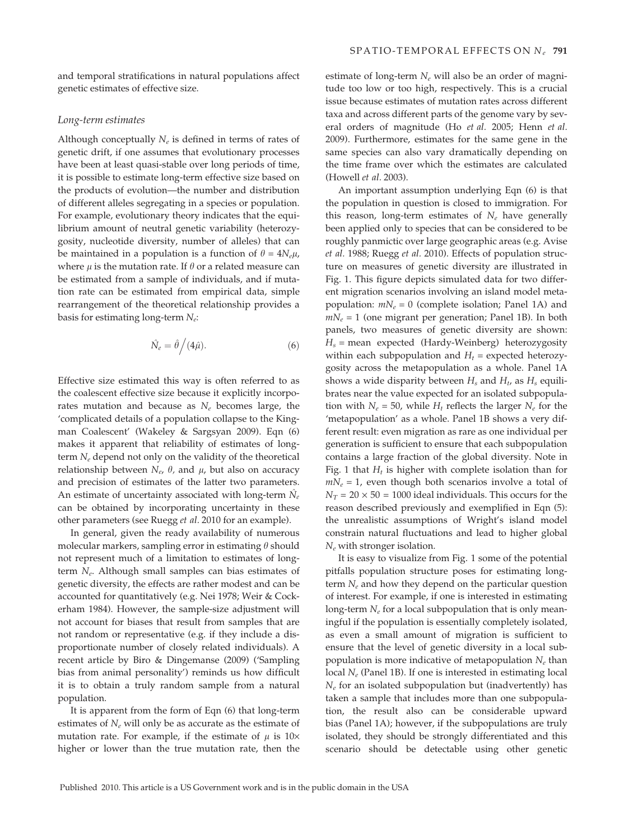and temporal stratifications in natural populations affect genetic estimates of effective size.

#### Long-term estimates

Although conceptually  $N_e$  is defined in terms of rates of genetic drift, if one assumes that evolutionary processes have been at least quasi-stable over long periods of time, it is possible to estimate long-term effective size based on the products of evolution—the number and distribution of different alleles segregating in a species or population. For example, evolutionary theory indicates that the equilibrium amount of neutral genetic variability (heterozygosity, nucleotide diversity, number of alleles) that can be maintained in a population is a function of  $\theta = 4N_e\mu$ , where  $\mu$  is the mutation rate. If  $\theta$  or a related measure can be estimated from a sample of individuals, and if mutation rate can be estimated from empirical data, simple rearrangement of the theoretical relationship provides a basis for estimating long-term  $N_e$ :

$$
\hat{N}_e = \hat{\theta} \Big/ (4\hat{\mu}). \tag{6}
$$

Effective size estimated this way is often referred to as the coalescent effective size because it explicitly incorporates mutation and because as  $N_e$  becomes large, the 'complicated details of a population collapse to the Kingman Coalescent' (Wakeley & Sargsyan 2009). Eqn (6) makes it apparent that reliability of estimates of longterm  $N_e$  depend not only on the validity of the theoretical relationship between  $N_e$ ,  $\theta$ , and  $\mu$ , but also on accuracy and precision of estimates of the latter two parameters. An estimate of uncertainty associated with long-term  $N_e$ can be obtained by incorporating uncertainty in these other parameters (see Ruegg et al. 2010 for an example).

In general, given the ready availability of numerous molecular markers, sampling error in estimating  $\theta$  should not represent much of a limitation to estimates of longterm  $N_e$ . Although small samples can bias estimates of genetic diversity, the effects are rather modest and can be accounted for quantitatively (e.g. Nei 1978; Weir & Cockerham 1984). However, the sample-size adjustment will not account for biases that result from samples that are not random or representative (e.g. if they include a disproportionate number of closely related individuals). A recent article by Biro & Dingemanse (2009) ('Sampling bias from animal personality') reminds us how difficult it is to obtain a truly random sample from a natural population.

It is apparent from the form of Eqn (6) that long-term estimates of  $N_e$  will only be as accurate as the estimate of mutation rate. For example, if the estimate of  $\mu$  is 10× higher or lower than the true mutation rate, then the

estimate of long-term  $N_e$  will also be an order of magnitude too low or too high, respectively. This is a crucial issue because estimates of mutation rates across different taxa and across different parts of the genome vary by several orders of magnitude (Ho et al. 2005; Henn et al. 2009). Furthermore, estimates for the same gene in the same species can also vary dramatically depending on the time frame over which the estimates are calculated (Howell et al. 2003).

An important assumption underlying Eqn (6) is that the population in question is closed to immigration. For this reason, long-term estimates of  $N_e$  have generally been applied only to species that can be considered to be roughly panmictic over large geographic areas (e.g. Avise et al. 1988; Ruegg et al. 2010). Effects of population structure on measures of genetic diversity are illustrated in Fig. 1. This figure depicts simulated data for two different migration scenarios involving an island model metapopulation:  $mN_e = 0$  (complete isolation; Panel 1A) and  $mN_e = 1$  (one migrant per generation; Panel 1B). In both panels, two measures of genetic diversity are shown:  $H_s$  = mean expected (Hardy-Weinberg) heterozygosity within each subpopulation and  $H_t$  = expected heterozygosity across the metapopulation as a whole. Panel 1A shows a wide disparity between  $H_s$  and  $H_t$ , as  $H_s$  equilibrates near the value expected for an isolated subpopulation with  $N_e = 50$ , while  $H_t$  reflects the larger  $N_e$  for the 'metapopulation' as a whole. Panel 1B shows a very different result: even migration as rare as one individual per generation is sufficient to ensure that each subpopulation contains a large fraction of the global diversity. Note in Fig. 1 that  $H_t$  is higher with complete isolation than for  $mN_e = 1$ , even though both scenarios involve a total of  $N_T = 20 \times 50 = 1000$  ideal individuals. This occurs for the reason described previously and exemplified in Eqn (5): the unrealistic assumptions of Wright's island model constrain natural fluctuations and lead to higher global  $N_e$  with stronger isolation.

It is easy to visualize from Fig. 1 some of the potential pitfalls population structure poses for estimating longterm  $N_e$  and how they depend on the particular question of interest. For example, if one is interested in estimating long-term  $N_e$  for a local subpopulation that is only meaningful if the population is essentially completely isolated, as even a small amount of migration is sufficient to ensure that the level of genetic diversity in a local subpopulation is more indicative of metapopulation  $N_e$  than local  $N_e$  (Panel 1B). If one is interested in estimating local  $N_e$  for an isolated subpopulation but (inadvertently) has taken a sample that includes more than one subpopulation, the result also can be considerable upward bias (Panel 1A); however, if the subpopulations are truly isolated, they should be strongly differentiated and this scenario should be detectable using other genetic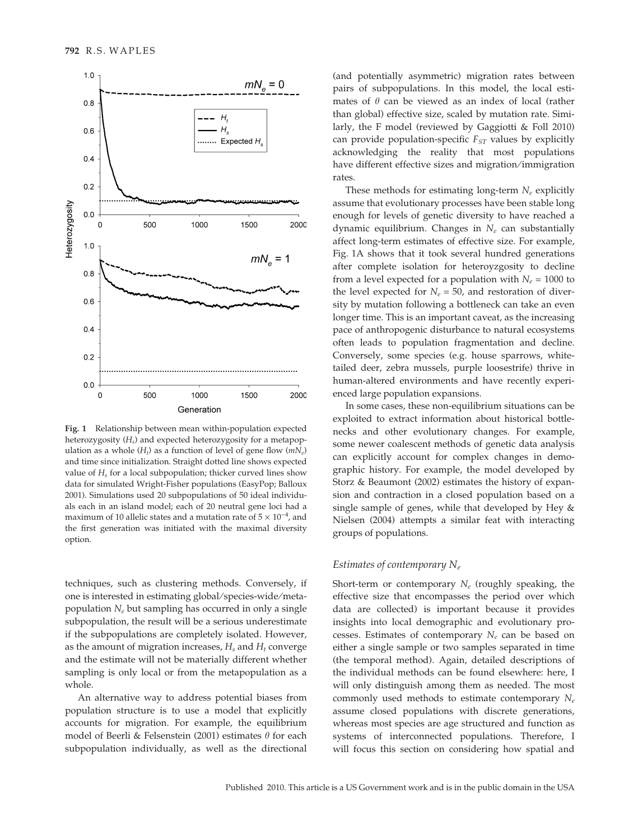

Fig. 1 Relationship between mean within-population expected heterozygosity  $(H_s)$  and expected heterozygosity for a metapopulation as a whole  $(H_t)$  as a function of level of gene flow  $(mN_e)$ and time since initialization. Straight dotted line shows expected value of  $H<sub>s</sub>$  for a local subpopulation; thicker curved lines show data for simulated Wright-Fisher populations (EasyPop; Balloux 2001). Simulations used 20 subpopulations of 50 ideal individuals each in an island model; each of 20 neutral gene loci had a maximum of 10 allelic states and a mutation rate of  $5 \times 10^{-4}$ , and the first generation was initiated with the maximal diversity option.

techniques, such as clustering methods. Conversely, if one is interested in estimating global/species-wide/metapopulation  $N_e$  but sampling has occurred in only a single subpopulation, the result will be a serious underestimate if the subpopulations are completely isolated. However, as the amount of migration increases,  $H_s$  and  $H_t$  converge and the estimate will not be materially different whether sampling is only local or from the metapopulation as a whole.

An alternative way to address potential biases from population structure is to use a model that explicitly accounts for migration. For example, the equilibrium model of Beerli & Felsenstein (2001) estimates  $\theta$  for each subpopulation individually, as well as the directional

(and potentially asymmetric) migration rates between pairs of subpopulations. In this model, the local estimates of  $\theta$  can be viewed as an index of local (rather than global) effective size, scaled by mutation rate. Similarly, the F model (reviewed by Gaggiotti & Foll 2010) can provide population-specific  $F_{ST}$  values by explicitly acknowledging the reality that most populations have different effective sizes and migration ⁄ immigration rates.

These methods for estimating long-term  $N_e$  explicitly assume that evolutionary processes have been stable long enough for levels of genetic diversity to have reached a dynamic equilibrium. Changes in  $N_e$  can substantially affect long-term estimates of effective size. For example, Fig. 1A shows that it took several hundred generations after complete isolation for heteroyzgosity to decline from a level expected for a population with  $N_e = 1000$  to the level expected for  $N_e = 50$ , and restoration of diversity by mutation following a bottleneck can take an even longer time. This is an important caveat, as the increasing pace of anthropogenic disturbance to natural ecosystems often leads to population fragmentation and decline. Conversely, some species (e.g. house sparrows, whitetailed deer, zebra mussels, purple loosestrife) thrive in human-altered environments and have recently experienced large population expansions.

In some cases, these non-equilibrium situations can be exploited to extract information about historical bottlenecks and other evolutionary changes. For example, some newer coalescent methods of genetic data analysis can explicitly account for complex changes in demographic history. For example, the model developed by Storz & Beaumont (2002) estimates the history of expansion and contraction in a closed population based on a single sample of genes, while that developed by Hey & Nielsen (2004) attempts a similar feat with interacting groups of populations.

#### Estimates of contemporary  $N_e$

Short-term or contemporary  $N_e$  (roughly speaking, the effective size that encompasses the period over which data are collected) is important because it provides insights into local demographic and evolutionary processes. Estimates of contemporary  $N_e$  can be based on either a single sample or two samples separated in time (the temporal method). Again, detailed descriptions of the individual methods can be found elsewhere: here, I will only distinguish among them as needed. The most commonly used methods to estimate contemporary  $N_e$ assume closed populations with discrete generations, whereas most species are age structured and function as systems of interconnected populations. Therefore, I will focus this section on considering how spatial and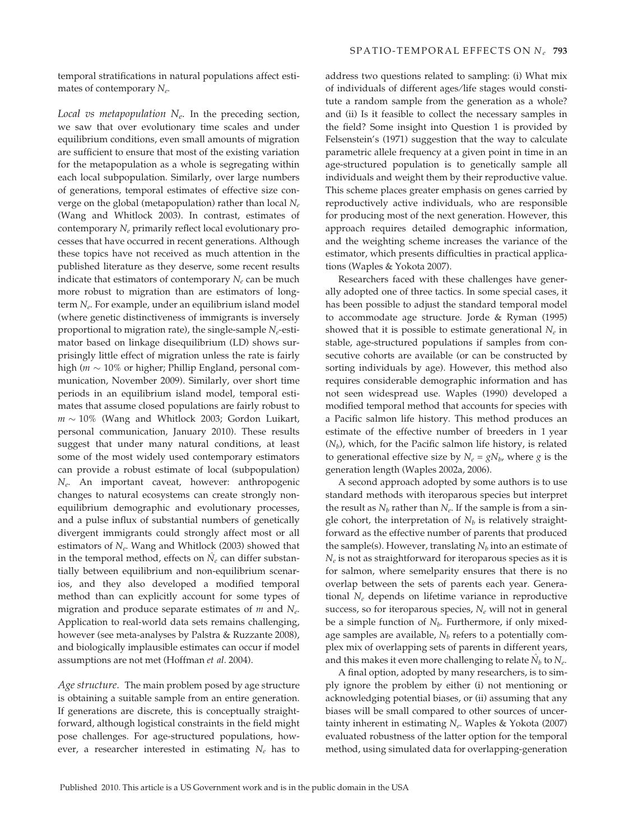temporal stratifications in natural populations affect estimates of contemporary  $N_e$ .

Local vs metapopulation  $N_e$ . In the preceding section, we saw that over evolutionary time scales and under equilibrium conditions, even small amounts of migration are sufficient to ensure that most of the existing variation for the metapopulation as a whole is segregating within each local subpopulation. Similarly, over large numbers of generations, temporal estimates of effective size converge on the global (metapopulation) rather than local  $N_e$ (Wang and Whitlock 2003). In contrast, estimates of contemporary  $N_e$  primarily reflect local evolutionary processes that have occurred in recent generations. Although these topics have not received as much attention in the published literature as they deserve, some recent results indicate that estimators of contemporary  $N_e$  can be much more robust to migration than are estimators of longterm  $N_e$ . For example, under an equilibrium island model (where genetic distinctiveness of immigrants is inversely proportional to migration rate), the single-sample  $N_e$ -estimator based on linkage disequilibrium (LD) shows surprisingly little effect of migration unless the rate is fairly high ( $m \sim 10\%$  or higher; Phillip England, personal communication, November 2009). Similarly, over short time periods in an equilibrium island model, temporal estimates that assume closed populations are fairly robust to  $m \sim 10\%$  (Wang and Whitlock 2003; Gordon Luikart, personal communication, January 2010). These results suggest that under many natural conditions, at least some of the most widely used contemporary estimators can provide a robust estimate of local (subpopulation) Ne. An important caveat, however: anthropogenic changes to natural ecosystems can create strongly nonequilibrium demographic and evolutionary processes, and a pulse influx of substantial numbers of genetically divergent immigrants could strongly affect most or all estimators of  $N_e$ . Wang and Whitlock (2003) showed that in the temporal method, effects on  $\hat{N}_e$  can differ substantially between equilibrium and non-equilibrium scenarios, and they also developed a modified temporal method than can explicitly account for some types of migration and produce separate estimates of  $m$  and  $N_e$ . Application to real-world data sets remains challenging, however (see meta-analyses by Palstra & Ruzzante 2008), and biologically implausible estimates can occur if model assumptions are not met (Hoffman et al. 2004).

Age structure. The main problem posed by age structure is obtaining a suitable sample from an entire generation. If generations are discrete, this is conceptually straightforward, although logistical constraints in the field might pose challenges. For age-structured populations, however, a researcher interested in estimating  $N_e$  has to

address two questions related to sampling: (i) What mix of individuals of different ages ⁄ life stages would constitute a random sample from the generation as a whole? and (ii) Is it feasible to collect the necessary samples in the field? Some insight into Question 1 is provided by Felsenstein's (1971) suggestion that the way to calculate parametric allele frequency at a given point in time in an age-structured population is to genetically sample all individuals and weight them by their reproductive value. This scheme places greater emphasis on genes carried by reproductively active individuals, who are responsible for producing most of the next generation. However, this approach requires detailed demographic information, and the weighting scheme increases the variance of the estimator, which presents difficulties in practical applications (Waples & Yokota 2007).

Researchers faced with these challenges have generally adopted one of three tactics. In some special cases, it has been possible to adjust the standard temporal model to accommodate age structure. Jorde & Ryman (1995) showed that it is possible to estimate generational  $N_e$  in stable, age-structured populations if samples from consecutive cohorts are available (or can be constructed by sorting individuals by age). However, this method also requires considerable demographic information and has not seen widespread use. Waples (1990) developed a modified temporal method that accounts for species with a Pacific salmon life history. This method produces an estimate of the effective number of breeders in 1 year  $(N_b)$ , which, for the Pacific salmon life history, is related to generational effective size by  $N_e = gN_b$ , where g is the generation length (Waples 2002a, 2006).

A second approach adopted by some authors is to use standard methods with iteroparous species but interpret the result as  $N_b$  rather than  $N_e$ . If the sample is from a single cohort, the interpretation of  $N_b$  is relatively straightforward as the effective number of parents that produced the sample(s). However, translating  $N_b$  into an estimate of  $N_e$  is not as straightforward for iteroparous species as it is for salmon, where semelparity ensures that there is no overlap between the sets of parents each year. Generational  $N_e$  depends on lifetime variance in reproductive success, so for iteroparous species,  $N_e$  will not in general be a simple function of  $N_b$ . Furthermore, if only mixedage samples are available,  $N_b$  refers to a potentially complex mix of overlapping sets of parents in different years, and this makes it even more challenging to relate  $\hat{N}_b$  to  $N_e$ .

A final option, adopted by many researchers, is to simply ignore the problem by either (i) not mentioning or acknowledging potential biases, or (ii) assuming that any biases will be small compared to other sources of uncertainty inherent in estimating  $N_e$ . Waples & Yokota (2007) evaluated robustness of the latter option for the temporal method, using simulated data for overlapping-generation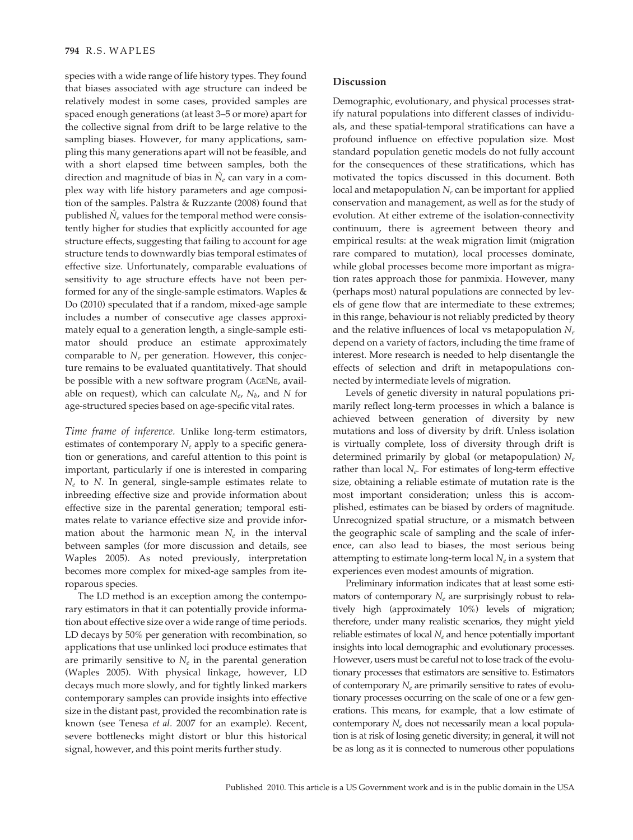#### 794 R.S. WAPLES

species with a wide range of life history types. They found that biases associated with age structure can indeed be relatively modest in some cases, provided samples are spaced enough generations (at least 3–5 or more) apart for the collective signal from drift to be large relative to the sampling biases. However, for many applications, sampling this many generations apart will not be feasible, and with a short elapsed time between samples, both the direction and magnitude of bias in  $\hat{N}_e$  can vary in a complex way with life history parameters and age composition of the samples. Palstra & Ruzzante (2008) found that published  $\tilde{N}_e$  values for the temporal method were consistently higher for studies that explicitly accounted for age structure effects, suggesting that failing to account for age structure tends to downwardly bias temporal estimates of effective size. Unfortunately, comparable evaluations of sensitivity to age structure effects have not been performed for any of the single-sample estimators. Waples & Do (2010) speculated that if a random, mixed-age sample includes a number of consecutive age classes approximately equal to a generation length, a single-sample estimator should produce an estimate approximately comparable to  $N_e$  per generation. However, this conjecture remains to be evaluated quantitatively. That should be possible with a new software program (AGENE, available on request), which can calculate  $N_e$ ,  $N_b$ , and N for age-structured species based on age-specific vital rates.

Time frame of inference. Unlike long-term estimators, estimates of contemporary  $N_e$  apply to a specific generation or generations, and careful attention to this point is important, particularly if one is interested in comparing  $N_e$  to N. In general, single-sample estimates relate to inbreeding effective size and provide information about effective size in the parental generation; temporal estimates relate to variance effective size and provide information about the harmonic mean  $N_e$  in the interval between samples (for more discussion and details, see Waples 2005). As noted previously, interpretation becomes more complex for mixed-age samples from iteroparous species.

The LD method is an exception among the contemporary estimators in that it can potentially provide information about effective size over a wide range of time periods. LD decays by 50% per generation with recombination, so applications that use unlinked loci produce estimates that are primarily sensitive to  $N_e$  in the parental generation (Waples 2005). With physical linkage, however, LD decays much more slowly, and for tightly linked markers contemporary samples can provide insights into effective size in the distant past, provided the recombination rate is known (see Tenesa et al. 2007 for an example). Recent, severe bottlenecks might distort or blur this historical signal, however, and this point merits further study.

#### Discussion

Demographic, evolutionary, and physical processes stratify natural populations into different classes of individuals, and these spatial-temporal stratifications can have a profound influence on effective population size. Most standard population genetic models do not fully account for the consequences of these stratifications, which has motivated the topics discussed in this document. Both local and metapopulation  $N_e$  can be important for applied conservation and management, as well as for the study of evolution. At either extreme of the isolation-connectivity continuum, there is agreement between theory and empirical results: at the weak migration limit (migration rare compared to mutation), local processes dominate, while global processes become more important as migration rates approach those for panmixia. However, many (perhaps most) natural populations are connected by levels of gene flow that are intermediate to these extremes; in this range, behaviour is not reliably predicted by theory and the relative influences of local vs metapopulation  $N_e$ depend on a variety of factors, including the time frame of interest. More research is needed to help disentangle the effects of selection and drift in metapopulations connected by intermediate levels of migration.

Levels of genetic diversity in natural populations primarily reflect long-term processes in which a balance is achieved between generation of diversity by new mutations and loss of diversity by drift. Unless isolation is virtually complete, loss of diversity through drift is determined primarily by global (or metapopulation)  $N_e$ rather than local  $N_e$ . For estimates of long-term effective size, obtaining a reliable estimate of mutation rate is the most important consideration; unless this is accomplished, estimates can be biased by orders of magnitude. Unrecognized spatial structure, or a mismatch between the geographic scale of sampling and the scale of inference, can also lead to biases, the most serious being attempting to estimate long-term local  $N_e$  in a system that experiences even modest amounts of migration.

Preliminary information indicates that at least some estimators of contemporary  $N_e$  are surprisingly robust to relatively high (approximately 10%) levels of migration; therefore, under many realistic scenarios, they might yield reliable estimates of local  $N_e$  and hence potentially important insights into local demographic and evolutionary processes. However, users must be careful not to lose track of the evolutionary processes that estimators are sensitive to. Estimators of contemporary  $N_e$  are primarily sensitive to rates of evolutionary processes occurring on the scale of one or a few generations. This means, for example, that a low estimate of contemporary  $N_e$  does not necessarily mean a local population is at risk of losing genetic diversity; in general, it will not be as long as it is connected to numerous other populations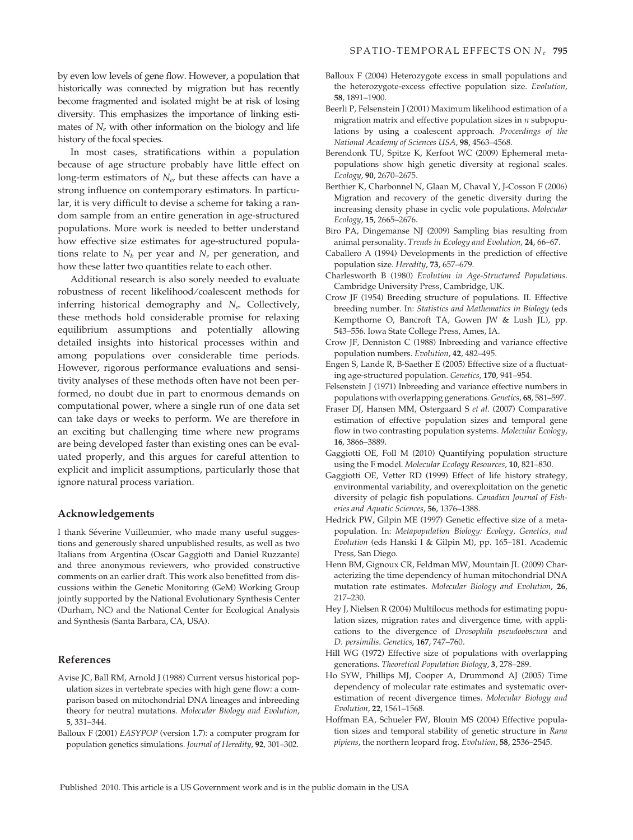by even low levels of gene flow. However, a population that historically was connected by migration but has recently become fragmented and isolated might be at risk of losing diversity. This emphasizes the importance of linking estimates of  $N_e$  with other information on the biology and life history of the focal species.

In most cases, stratifications within a population because of age structure probably have little effect on long-term estimators of  $N_e$ , but these affects can have a strong influence on contemporary estimators. In particular, it is very difficult to devise a scheme for taking a random sample from an entire generation in age-structured populations. More work is needed to better understand how effective size estimates for age-structured populations relate to  $N_b$  per year and  $N_e$  per generation, and how these latter two quantities relate to each other.

Additional research is also sorely needed to evaluate robustness of recent likelihood ⁄ coalescent methods for inferring historical demography and  $N_e$ . Collectively, these methods hold considerable promise for relaxing equilibrium assumptions and potentially allowing detailed insights into historical processes within and among populations over considerable time periods. However, rigorous performance evaluations and sensitivity analyses of these methods often have not been performed, no doubt due in part to enormous demands on computational power, where a single run of one data set can take days or weeks to perform. We are therefore in an exciting but challenging time where new programs are being developed faster than existing ones can be evaluated properly, and this argues for careful attention to explicit and implicit assumptions, particularly those that ignore natural process variation.

#### Acknowledgements

I thank Séverine Vuilleumier, who made many useful suggestions and generously shared unpublished results, as well as two Italians from Argentina (Oscar Gaggiotti and Daniel Ruzzante) and three anonymous reviewers, who provided constructive comments on an earlier draft. This work also benefitted from discussions within the Genetic Monitoring (GeM) Working Group jointly supported by the National Evolutionary Synthesis Center (Durham, NC) and the National Center for Ecological Analysis and Synthesis (Santa Barbara, CA, USA).

#### References

- Avise JC, Ball RM, Arnold J (1988) Current versus historical population sizes in vertebrate species with high gene flow: a comparison based on mitochondrial DNA lineages and inbreeding theory for neutral mutations. Molecular Biology and Evolution, 5, 331–344.
- Balloux F (2001) EASYPOP (version 1.7): a computer program for population genetics simulations. Journal of Heredity, 92, 301–302.
- Balloux F (2004) Heterozygote excess in small populations and the heterozygote-excess effective population size. Evolution, 58, 1891–1900.
- Beerli P, Felsenstein J (2001) Maximum likelihood estimation of a migration matrix and effective population sizes in  $n$  subpopulations by using a coalescent approach. Proceedings of the National Academy of Sciences USA, 98, 4563–4568.
- Berendonk TU, Spitze K, Kerfoot WC (2009) Ephemeral metapopulations show high genetic diversity at regional scales. Ecology, 90, 2670–2675.
- Berthier K, Charbonnel N, Glaan M, Chaval Y, J-Cosson F (2006) Migration and recovery of the genetic diversity during the increasing density phase in cyclic vole populations. Molecular Ecology, 15, 2665–2676.
- Biro PA, Dingemanse NJ (2009) Sampling bias resulting from animal personality. Trends in Ecology and Evolution, 24, 66-67.
- Caballero A (1994) Developments in the prediction of effective population size. Heredity, 73, 657–679.
- Charlesworth B (1980) Evolution in Age-Structured Populations. Cambridge University Press, Cambridge, UK.
- Crow JF (1954) Breeding structure of populations. II. Effective breeding number. In: Statistics and Mathematics in Biology (eds Kempthorne O, Bancroft TA, Gowen JW & Lush JL), pp. 543–556. Iowa State College Press, Ames, IA.
- Crow JF, Denniston C (1988) Inbreeding and variance effective population numbers. Evolution, 42, 482–495.
- Engen S, Lande R, B-Saether E (2005) Effective size of a fluctuating age-structured population. Genetics, 170, 941–954.
- Felsenstein J (1971) Inbreeding and variance effective numbers in populations with overlapping generations. Genetics, 68, 581–597.
- Fraser DJ, Hansen MM, Ostergaard S et al. (2007) Comparative estimation of effective population sizes and temporal gene flow in two contrasting population systems. Molecular Ecology, 16, 3866–3889.
- Gaggiotti OE, Foll M (2010) Quantifying population structure using the F model. Molecular Ecology Resources, 10, 821–830.
- Gaggiotti OE, Vetter RD (1999) Effect of life history strategy, environmental variability, and overexploitation on the genetic diversity of pelagic fish populations. Canadian Journal of Fisheries and Aquatic Sciences, 56, 1376–1388.
- Hedrick PW, Gilpin ME (1997) Genetic effective size of a metapopulation. In: Metapopulation Biology: Ecology, Genetics, and Evolution (eds Hanski I & Gilpin M), pp. 165–181. Academic Press, San Diego.
- Henn BM, Gignoux CR, Feldman MW, Mountain JL (2009) Characterizing the time dependency of human mitochondrial DNA mutation rate estimates. Molecular Biology and Evolution, 26, 217–230.
- Hey J, Nielsen R (2004) Multilocus methods for estimating population sizes, migration rates and divergence time, with applications to the divergence of Drosophila pseudoobscura and D. persimilis. Genetics, 167, 747–760.
- Hill WG (1972) Effective size of populations with overlapping generations. Theoretical Population Biology, 3, 278–289.
- Ho SYW, Phillips MJ, Cooper A, Drummond AJ (2005) Time dependency of molecular rate estimates and systematic overestimation of recent divergence times. Molecular Biology and Evolution, 22, 1561–1568.
- Hoffman EA, Schueler FW, Blouin MS (2004) Effective population sizes and temporal stability of genetic structure in Rana pipiens, the northern leopard frog. Evolution, 58, 2536–2545.